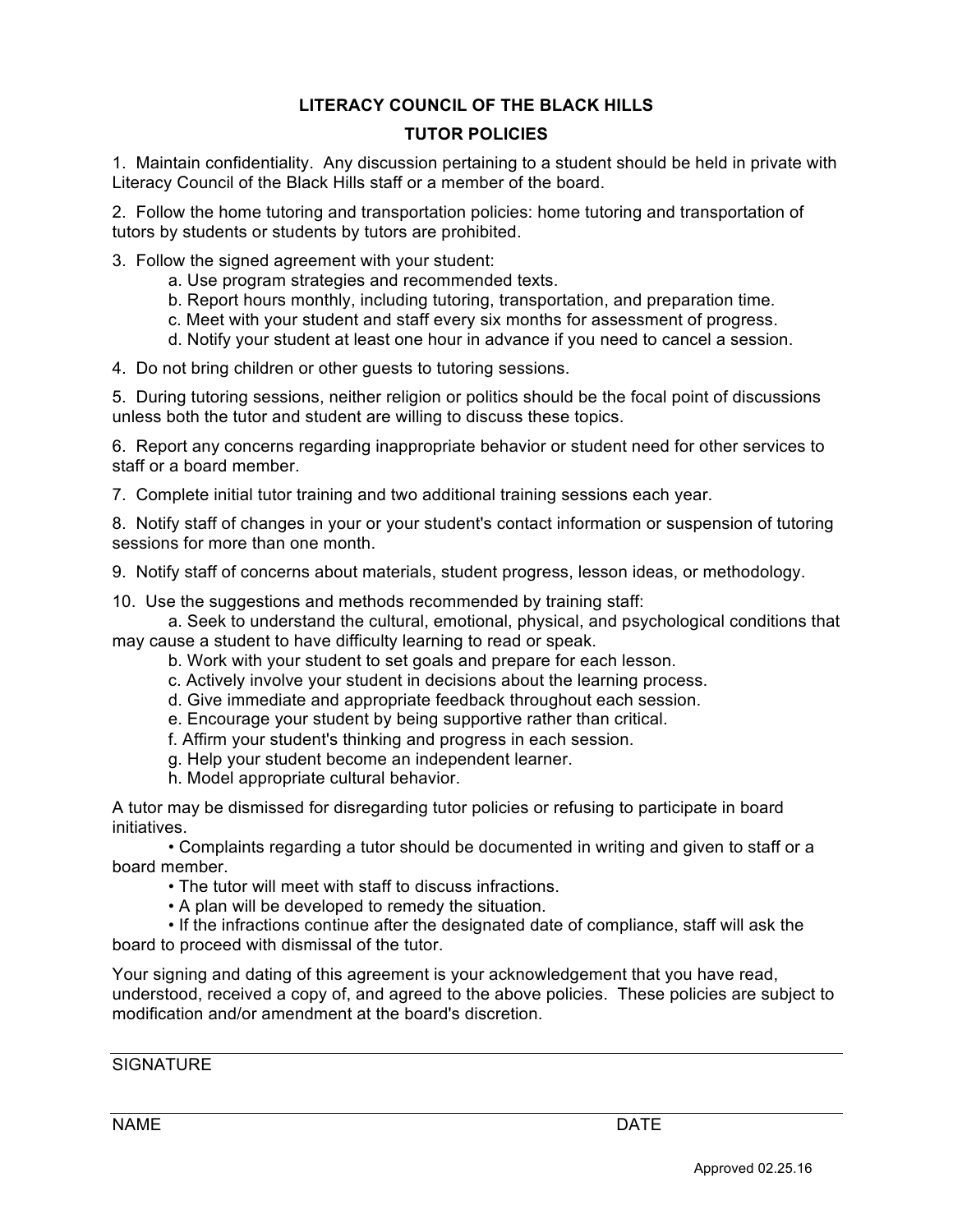# **LITERACY COUNCIL OF THE BLACK HILLS**

# **TUTOR POLICIES**

1. Maintain confidentiality. Any discussion pertaining to a student should be held in private with Literacy Council of the Black Hills staff or a member of the board.

2. Follow the home tutoring and transportation policies: home tutoring and transportation of tutors by students or students by tutors are prohibited.

- 3. Follow the signed agreement with your student:
	- a. Use program strategies and recommended texts.
	- b. Report hours monthly, including tutoring, transportation, and preparation time.
	- c. Meet with your student and staff every six months for assessment of progress.
	- d. Notify your student at least one hour in advance if you need to cancel a session.

4. Do not bring children or other guests to tutoring sessions.

5. During tutoring sessions, neither religion or politics should be the focal point of discussions unless both the tutor and student are willing to discuss these topics.

6. Report any concerns regarding inappropriate behavior or student need for other services to staff or a board member.

7. Complete initial tutor training and two additional training sessions each year.

8. Notify staff of changes in your or your student's contact information or suspension of tutoring sessions for more than one month.

9. Notify staff of concerns about materials, student progress, lesson ideas, or methodology.

10. Use the suggestions and methods recommended by training staff:

a. Seek to understand the cultural, emotional, physical, and psychological conditions that may cause a student to have difficulty learning to read or speak.

- b. Work with your student to set goals and prepare for each lesson.
- c. Actively involve your student in decisions about the learning process.
- d. Give immediate and appropriate feedback throughout each session.
- e. Encourage your student by being supportive rather than critical.
- f. Affirm your student's thinking and progress in each session.
- g. Help your student become an independent learner.
- h. Model appropriate cultural behavior.

A tutor may be dismissed for disregarding tutor policies or refusing to participate in board initiatives.

• Complaints regarding a tutor should be documented in writing and given to staff or a board member.

- The tutor will meet with staff to discuss infractions.
- A plan will be developed to remedy the situation.

modification and/or amendment at the board's discretion.

• If the infractions continue after the designated date of compliance, staff will ask the board to proceed with dismissal of the tutor.

Your signing and dating of this agreement is your acknowledgement that you have read, understood, received a copy of, and agreed to the above policies. These policies are subject to

# **SIGNATURE**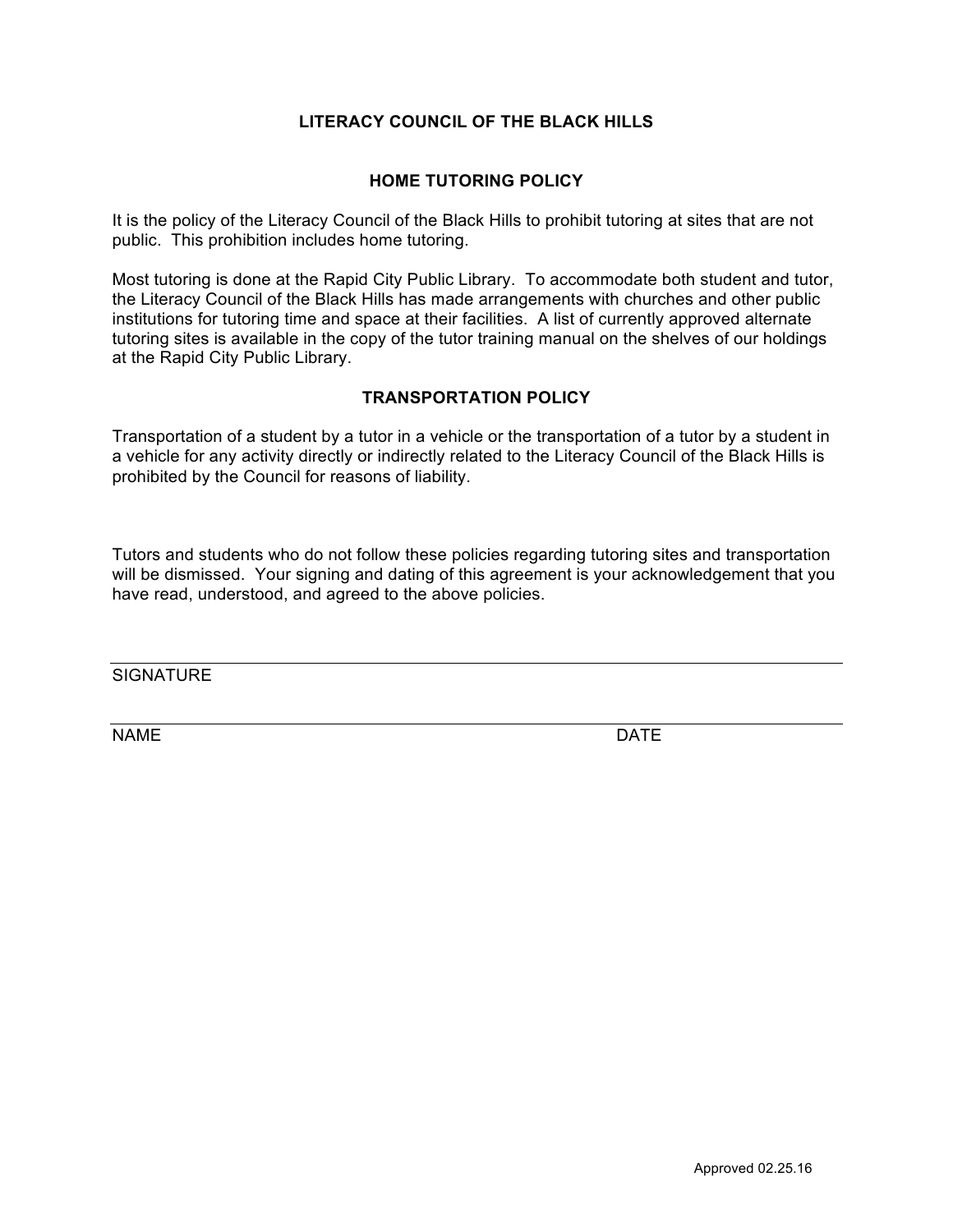# **LITERACY COUNCIL OF THE BLACK HILLS**

## **HOME TUTORING POLICY**

It is the policy of the Literacy Council of the Black Hills to prohibit tutoring at sites that are not public. This prohibition includes home tutoring.

Most tutoring is done at the Rapid City Public Library. To accommodate both student and tutor, the Literacy Council of the Black Hills has made arrangements with churches and other public institutions for tutoring time and space at their facilities. A list of currently approved alternate tutoring sites is available in the copy of the tutor training manual on the shelves of our holdings at the Rapid City Public Library.

## **TRANSPORTATION POLICY**

Transportation of a student by a tutor in a vehicle or the transportation of a tutor by a student in a vehicle for any activity directly or indirectly related to the Literacy Council of the Black Hills is prohibited by the Council for reasons of liability.

Tutors and students who do not follow these policies regarding tutoring sites and transportation will be dismissed. Your signing and dating of this agreement is your acknowledgement that you have read, understood, and agreed to the above policies.

**SIGNATURE** 

NAME DATE